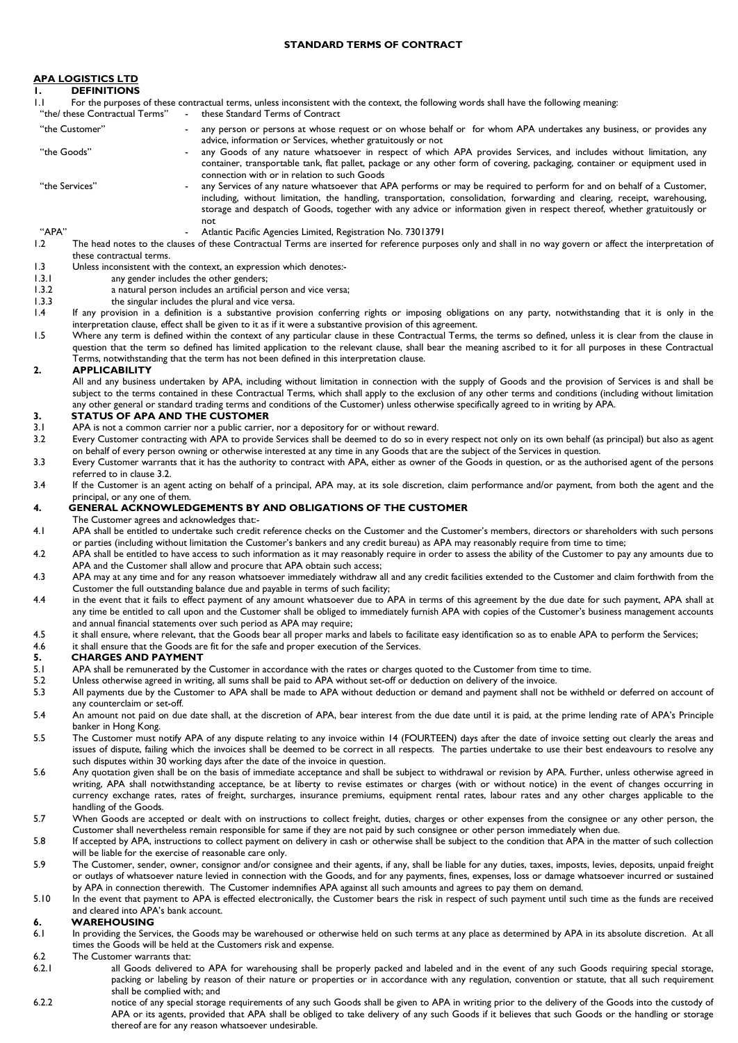### **STANDARD TERMS OF CONTRACT**

### **APA LOGISTICS LTD**

| <b>DEFINITIONS</b> |  |
|--------------------|--|
|--------------------|--|

1.1 For the purposes of these contractual terms, unless inconsistent with the context, the following words shall have the following meaning:<br>"the/ these Contractual Terms" - these Standard Terms of Contract - these Standard Terms of Contract "the Customer" - any person or persons at whose request or on whose behalf or for whom APA undertakes any business, or provides any advice, information or Services, whether gratuitously or not "the Goods" **- any Goods of any nature whatsoever in respect of which APA provides Services, and includes without limitation, any** container, transportable tank, flat pallet, package or any other form of covering, packaging, container or equipment used in connection with or in relation to such Goods "the Services" - any Services of any nature whatsoever that APA performs or may be required to perform for and on behalf of a Customer, including, without limitation, the handling, transportation, consolidation, forwarding and clearing, receipt, warehousing, storage and despatch of Goods, together with any advice or information given in respect thereof, whether gratuitously or not

- "APA" Atlantic Pacific Agencies Limited, Registration No. 73013791 The head notes to the clauses of these Contractual Terms are inserted for reference purposes only and shall in no way govern or affect the interpretation of these contractual terms.
- 1.3 Unless inconsistent with the context, an expression which denotes:<br>1.3.1 any gender includes the other genders;
- 1.3.1 any gender includes the other genders;<br>1.3.2 a natural person includes an artificial per
	- a natural person includes an artificial person and vice versa;
- 1.3.3 the singular includes the plural and vice versa.<br>1.4 If any provision in a definition is a substantive prov
- If any provision in a definition is a substantive provision conferring rights or imposing obligations on any party, notwithstanding that it is only in the interpretation clause, effect shall be given to it as if it were a substantive provision of this agreement.
- 1.5 Where any term is defined within the context of any particular clause in these Contractual Terms, the terms so defined, unless it is clear from the clause in question that the term so defined has limited application to the relevant clause, shall bear the meaning ascribed to it for all purposes in these Contractual Terms, notwithstanding that the term has not been defined in this interpretation clause.

### **2. APPLICABILITY**

All and any business undertaken by APA, including without limitation in connection with the supply of Goods and the provision of Services is and shall be subject to the terms contained in these Contractual Terms, which shall apply to the exclusion of any other terms and conditions (including without limitation any other general or standard trading terms and conditions of the Customer) unless otherwise specifically agreed to in writing by APA.

### **3. STATUS OF APA AND THE CUSTOMER**

- APA is not a common carrier nor a public carrier, nor a depository for or without reward.
- <span id="page-0-0"></span>3.2 Every Customer contracting with APA to provide Services shall be deemed to do so in every respect not only on its own behalf (as principal) but also as agent on behalf of every person owning or otherwise interested at any time in any Goods that are the subject of the Services in question.
- 3.3 Every Customer warrants that it has the authority to contract with APA, either as owner of the Goods in question, or as the authorised agent of the persons referred to in clause [3.2.](#page-0-0)
- 3.4 If the Customer is an agent acting on behalf of a principal, APA may, at its sole discretion, claim performance and/or payment, from both the agent and the principal, or any one of them.

### **4. GENERAL ACKNOWLEDGEMENTS BY AND OBLIGATIONS OF THE CUSTOMER**

- The Customer agrees and acknowledges that:-
- 4.1 APA shall be entitled to undertake such credit reference checks on the Customer and the Customer's members, directors or shareholders with such persons or parties (including without limitation the Customer's bankers and any credit bureau) as APA may reasonably require from time to time;
- 4.2 APA shall be entitled to have access to such information as it may reasonably require in order to assess the ability of the Customer to pay any amounts due to APA and the Customer shall allow and procure that APA obtain such access;
- 4.3 APA may at any time and for any reason whatsoever immediately withdraw all and any credit facilities extended to the Customer and claim forthwith from the Customer the full outstanding balance due and payable in terms of such facility;
- 4.4 in the event that it fails to effect payment of any amount whatsoever due to APA in terms of this agreement by the due date for such payment, APA shall at any time be entitled to call upon and the Customer shall be obliged to immediately furnish APA with copies of the Customer's business management accounts and annual financial statements over such period as APA may require;
- 4.5 it shall ensure, where relevant, that the Goods bear all proper marks and labels to facilitate easy identification so as to enable APA to perform the Services;<br>4.6 it shall ensure that the Goods are fit for the safe an

# 4.6 it shall ensure that the Goods are fit for the safe and proper execution of the Services.<br>5. **CHARGES AND PAYMENT**

# **5. CHARGES AND PAYMENT**<br>5.1 APA shall be remunerated by the

- APA shall be remunerated by the Customer in accordance with the rates or charges quoted to the Customer from time to time.
- 5.2 Unless otherwise agreed in writing, all sums shall be paid to APA without set-off or deduction on delivery of the invoice.<br>5.3 All payments due by the Customer to APA shall be made to APA without deduction or demand an
- All payments due by the Customer to APA shall be made to APA without deduction or demand and payment shall not be withheld or deferred on account of any counterclaim or set-off.
- 5.4 An amount not paid on due date shall, at the discretion of APA, bear interest from the due date until it is paid, at the prime lending rate of APA's Principle banker in Hong Kong.
- 5.5 The Customer must notify APA of any dispute relating to any invoice within 14 (FOURTEEN) days after the date of invoice setting out clearly the areas and issues of dispute, failing which the invoices shall be deemed to be correct in all respects. The parties undertake to use their best endeavours to resolve any such disputes within 30 working days after the date of the invoice in question.
- 5.6 Any quotation given shall be on the basis of immediate acceptance and shall be subject to withdrawal or revision by APA. Further, unless otherwise agreed in writing, APA shall notwithstanding acceptance, be at liberty to revise estimates or charges (with or without notice) in the event of changes occurring in currency exchange rates, rates of freight, surcharges, insurance premiums, equipment rental rates, labour rates and any other charges applicable to the handling of the Goods.
- 5.7 When Goods are accepted or dealt with on instructions to collect freight, duties, charges or other expenses from the consignee or any other person, the Customer shall nevertheless remain responsible for same if they are not paid by such consignee or other person immediately when due.
- 5.8 If accepted by APA, instructions to collect payment on delivery in cash or otherwise shall be subject to the condition that APA in the matter of such collection will be liable for the exercise of reasonable care only.
- 5.9 The Customer, sender, owner, consignor and/or consignee and their agents, if any, shall be liable for any duties, taxes, imposts, levies, deposits, unpaid freight or outlays of whatsoever nature levied in connection with the Goods, and for any payments, fines, expenses, loss or damage whatsoever incurred or sustained by APA in connection therewith. The Customer indemnifies APA against all such amounts and agrees to pay them on demand.
- 5.10 In the event that payment to APA is effected electronically, the Customer bears the risk in respect of such payment until such time as the funds are received and cleared into APA's bank account.

### **6. WAREHOUSING**<br>**6. In providing the Serve**

- In providing the Services, the Goods may be warehoused or otherwise held on such terms at any place as determined by APA in its absolute discretion. At all times the Goods will be held at the Customers risk and expense.
- 6.2 The Customer warrants that:<br>6.2.1 all Goods delivered
- all Goods delivered to APA for warehousing shall be properly packed and labeled and in the event of any such Goods requiring special storage, packing or labeling by reason of their nature or properties or in accordance with any regulation, convention or statute, that all such requirement shall be complied with; and
- 6.2.2 notice of any special storage requirements of any such Goods shall be given to APA in writing prior to the delivery of the Goods into the custody of APA or its agents, provided that APA shall be obliged to take delivery of any such Goods if it believes that such Goods or the handling or storage thereof are for any reason whatsoever undesirable.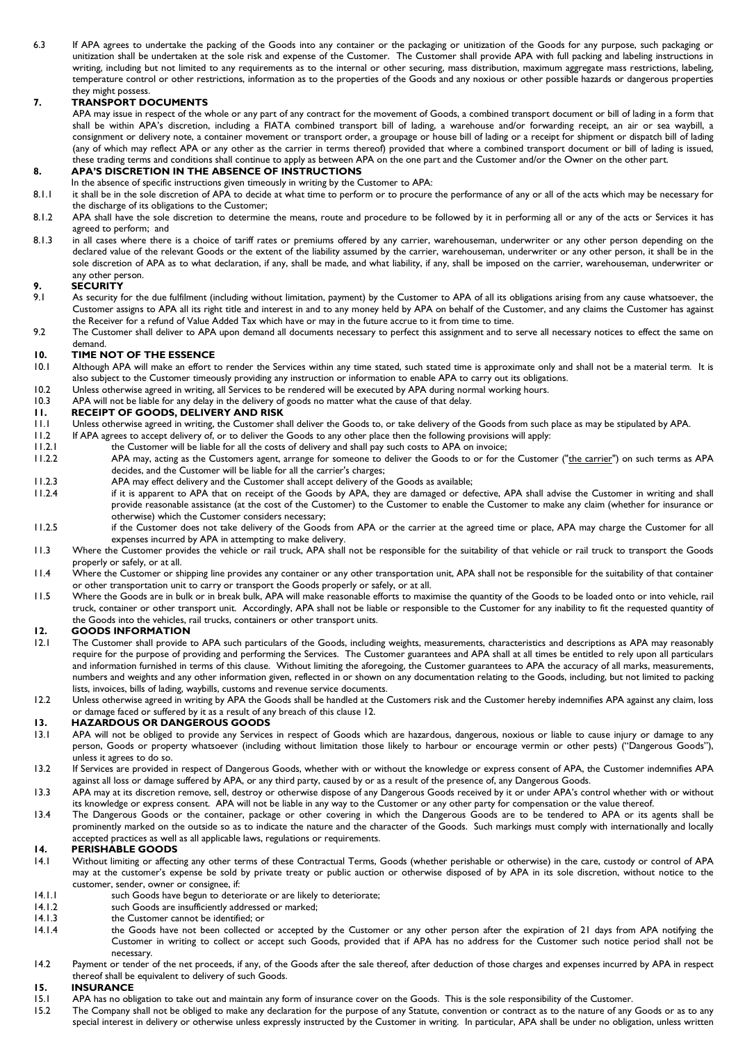6.3 If APA agrees to undertake the packing of the Goods into any container or the packaging or unitization of the Goods for any purpose, such packaging or unitization shall be undertaken at the sole risk and expense of the Customer. The Customer shall provide APA with full packing and labeling instructions in writing, including but not limited to any requirements as to the internal or other securing, mass distribution, maximum aggregate mass restrictions, labeling, temperature control or other restrictions, information as to the properties of the Goods and any noxious or other possible hazards or dangerous properties they might possess.

### **7. TRANSPORT DOCUMENTS**

APA may issue in respect of the whole or any part of any contract for the movement of Goods, a combined transport document or bill of lading in a form that shall be within APA's discretion, including a FIATA combined transport bill of lading, a warehouse and/or forwarding receipt, an air or sea waybill, a consignment or delivery note, a container movement or transport order, a groupage or house bill of lading or a receipt for shipment or dispatch bill of lading (any of which may reflect APA or any other as the carrier in terms thereof) provided that where a combined transport document or bill of lading is issued, these trading terms and conditions shall continue to apply as between APA on the one part and the Customer and/or the Owner on the other part.

#### **8. APA'S DISCRETION IN THE ABSENCE OF INSTRUCTIONS**

- In the absence of specific instructions given timeously in writing by the Customer to APA:
- 8.1.1 it shall be in the sole discretion of APA to decide at what time to perform or to procure the performance of any or all of the acts which may be necessary for the discharge of its obligations to the Customer;
- 8.1.2 APA shall have the sole discretion to determine the means, route and procedure to be followed by it in performing all or any of the acts or Services it has agreed to perform; and
- 8.1.3 in all cases where there is a choice of tariff rates or premiums offered by any carrier, warehouseman, underwriter or any other person depending on the declared value of the relevant Goods or the extent of the liability assumed by the carrier, warehouseman, underwriter or any other person, it shall be in the sole discretion of APA as to what declaration, if any, shall be made, and what liability, if any, shall be imposed on the carrier, warehouseman, underwriter or any other person.

### **9. SECURITY**

- As security for the due fulfilment (including without limitation, payment) by the Customer to APA of all its obligations arising from any cause whatsoever, the Customer assigns to APA all its right title and interest in and to any money held by APA on behalf of the Customer, and any claims the Customer has against the Receiver for a refund of Value Added Tax which have or may in the future accrue to it from time to time.
- 9.2 The Customer shall deliver to APA upon demand all documents necessary to perfect this assignment and to serve all necessary notices to effect the same on demand.

### **10. TIME NOT OF THE ESSENCE**

- Although APA will make an effort to render the Services within any time stated, such stated time is approximate only and shall not be a material term. It is also subject to the Customer timeously providing any instruction or information to enable APA to carry out its obligations.
- 10.2 Unless otherwise agreed in writing, all Services to be rendered will be executed by APA during normal working hours.<br>10.3 APA will not be liable for any delay in the delivery of goods no matter what the cause of that
- 10.3 APA will not be liable for any delay in the delivery of goods no matter what the cause of that delay.<br>11. RECEIPT OF GOODS, DELIVERY AND RISK

### **11. RECEIPT OF GOODS, DELIVERY AND RISK**

- 11.1 Unless otherwise agreed in writing, the Customer shall deliver the Goods to, or take delivery of the Goods from such place as may be stipulated by APA.
- 11.2 If APA agrees to accept delivery of, or to deliver the Goods to any other place then the following provisions will apply:
- 11.2.1 the Customer will be liable for all the costs of delivery and shall pay such costs to APA on invoice; 11.2.2 APA may, acting as the Customers agent, arrange for someone to deliver the Goods to or for the Customer ("the carrier") on such terms as APA decides, and the Customer will be liable for all the carrier's charges;
- 11.2.3 APA may effect delivery and the Customer shall accept delivery of the Goods as available;<br>11.2.4 if it is apparent to APA that on receipt of the Goods by APA, they are damaged or def
- if it is apparent to APA that on receipt of the Goods by APA, they are damaged or defective, APA shall advise the Customer in writing and shall provide reasonable assistance (at the cost of the Customer) to the Customer to enable the Customer to make any claim (whether for insurance or otherwise) which the Customer considers necessary;
- 11.2.5 if the Customer does not take delivery of the Goods from APA or the carrier at the agreed time or place, APA may charge the Customer for all expenses incurred by APA in attempting to make delivery.
- 11.3 Where the Customer provides the vehicle or rail truck, APA shall not be responsible for the suitability of that vehicle or rail truck to transport the Goods properly or safely, or at all.
- 11.4 Where the Customer or shipping line provides any container or any other transportation unit, APA shall not be responsible for the suitability of that container or other transportation unit to carry or transport the Goods properly or safely, or at all.
- 11.5 Where the Goods are in bulk or in break bulk, APA will make reasonable efforts to maximise the quantity of the Goods to be loaded onto or into vehicle, rail truck, container or other transport unit. Accordingly, APA shall not be liable or responsible to the Customer for any inability to fit the requested quantity of the Goods into the vehicles, rail trucks, containers or other transport units.

# <span id="page-1-0"></span>**12. GOODS INFORMATION**<br>**12.1** The Customer shall provide to

- The Customer shall provide to APA such particulars of the Goods, including weights, measurements, characteristics and descriptions as APA may reasonably require for the purpose of providing and performing the Services. The Customer guarantees and APA shall at all times be entitled to rely upon all particulars and information furnished in terms of this clause. Without limiting the aforegoing, the Customer guarantees to APA the accuracy of all marks, measurements, numbers and weights and any other information given, reflected in or shown on any documentation relating to the Goods, including, but not limited to packing lists, invoices, bills of lading, waybills, customs and revenue service documents.
- 12.2 Unless otherwise agreed in writing by APA the Goods shall be handled at the Customers risk and the Customer hereby indemnifies APA against any claim, loss or damage faced or suffered by it as a result of any breach of this claus[e 12.](#page-1-0)

### **13. HAZARDOUS OR DANGEROUS GOODS**

- 13.1 APA will not be obliged to provide any Services in respect of Goods which are hazardous, dangerous, noxious or liable to cause injury or damage to any person, Goods or property whatsoever (including without limitation those likely to harbour or encourage vermin or other pests) ("Dangerous Goods"), unless it agrees to do so.
- 13.2 If Services are provided in respect of Dangerous Goods, whether with or without the knowledge or express consent of APA, the Customer indemnifies APA against all loss or damage suffered by APA, or any third party, caused by or as a result of the presence of, any Dangerous Goods.
- 13.3 APA may at its discretion remove, sell, destroy or otherwise dispose of any Dangerous Goods received by it or under APA's control whether with or without its knowledge or express consent. APA will not be liable in any way to the Customer or any other party for compensation or the value thereof.
- 13.4 The Dangerous Goods or the container, package or other covering in which the Dangerous Goods are to be tendered to APA or its agents shall be prominently marked on the outside so as to indicate the nature and the character of the Goods. Such markings must comply with internationally and locally accepted practices as well as all applicable laws, regulations or requirements.

- **14. PERISHABLE GOODS**<br>**14.1** Without limiting or affecti 14.1 Without limiting or affecting any other terms of these Contractual Terms, Goods (whether perishable or otherwise) in the care, custody or control of APA may at the customer's expense be sold by private treaty or public auction or otherwise disposed of by APA in its sole discretion, without notice to the customer, sender, owner or consignee, if:
- 14.1.1 such Goods have begun to deteriorate or are likely to deteriorate;<br>14.1.2 such Goods are insufficiently addressed or marked;
- 14.1.2 such Goods are insufficiently addressed or marked;<br>14.1.3 the Customer cannot be identified; or
- 14.1.3 the Customer cannot be identified; or<br>14.1.4 the Goods have not been collected
- the Goods have not been collected or accepted by the Customer or any other person after the expiration of 21 days from APA notifying the Customer in writing to collect or accept such Goods, provided that if APA has no address for the Customer such notice period shall not be necessary.
- 14.2 Payment or tender of the net proceeds, if any, of the Goods after the sale thereof, after deduction of those charges and expenses incurred by APA in respect thereof shall be equivalent to delivery of such Goods.

### **15. INSURANCE**

- APA has no obligation to take out and maintain any form of insurance cover on the Goods. This is the sole responsibility of the Customer.
- 15.2 The Company shall not be obliged to make any declaration for the purpose of any Statute, convention or contract as to the nature of any Goods or as to any special interest in delivery or otherwise unless expressly instructed by the Customer in writing. In particular, APA shall be under no obligation, unless written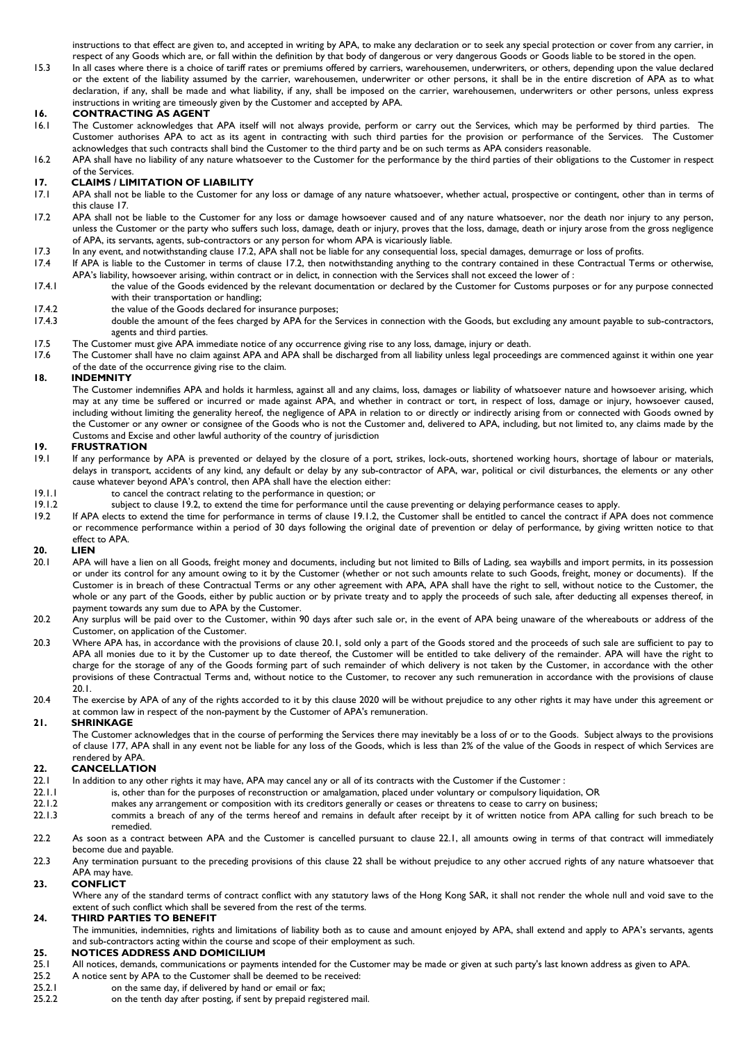instructions to that effect are given to, and accepted in writing by APA, to make any declaration or to seek any special protection or cover from any carrier, in respect of any Goods which are, or fall within the definition by that body of dangerous or very dangerous Goods or Goods liable to be stored in the open.

15.3 In all cases where there is a choice of tariff rates or premiums offered by carriers, warehousemen, underwriters, or others, depending upon the value declared or the extent of the liability assumed by the carrier, warehousemen, underwriter or other persons, it shall be in the entire discretion of APA as to what declaration, if any, shall be made and what liability, if any, shall be imposed on the carrier, warehousemen, underwriters or other persons, unless express instructions in writing are timeously given by the Customer and accepted by APA.

# **16. CONTRACTING AS AGENT**<br>16.1 The Customer acknowledges that

- The Customer acknowledges that APA itself will not always provide, perform or carry out the Services, which may be performed by third parties. The Customer authorises APA to act as its agent in contracting with such third parties for the provision or performance of the Services. The Customer acknowledges that such contracts shall bind the Customer to the third party and be on such terms as APA considers reasonable.
- 16.2 APA shall have no liability of any nature whatsoever to the Customer for the performance by the third parties of their obligations to the Customer in respect of the Services.

# <span id="page-2-0"></span>**17. CLAIMS / LIMITATION OF LIABILITY**

- APA shall not be liable to the Customer for any loss or damage of any nature whatsoever, whether actual, prospective or contingent, other than in terms of this claus[e 17.](#page-2-0)
- <span id="page-2-1"></span>17.2 APA shall not be liable to the Customer for any loss or damage howsoever caused and of any nature whatsoever, nor the death nor injury to any person, unless the Customer or the party who suffers such loss, damage, death or injury, proves that the loss, damage, death or injury arose from the gross negligence of APA, its servants, agents, sub-contractors or any person for whom APA is vicariously liable.
- 17.3 In any event, and notwithstanding claus[e 17.2,](#page-2-1) APA shall not be liable for any consequential loss, special damages, demurrage or loss of profits.<br>17.4 If APA is liable to the Customer in terms of clause 17.2, then not
- 17.4 If APA is liable to the Customer in terms of clause [17.2,](#page-2-1) then notwithstanding anything to the contrary contained in these Contractual Terms or otherwise, APA's liability, howsoever arising, within contract or in delict, in connection with the Services shall not exceed the lower of :
- 17.4.1 the value of the Goods evidenced by the relevant documentation or declared by the Customer for Customs purposes or for any purpose connected with their transportation or handling;
- 17.4.2 the value of the Goods declared for insurance purposes;<br>17.4.3 double the amount of the fees charged by APA for the S
- double the amount of the fees charged by APA for the Services in connection with the Goods, but excluding any amount payable to sub-contractors, agents and third parties.
- 17.5 The Customer must give APA immediate notice of any occurrence giving rise to any loss, damage, injury or death.
- 17.6 The Customer shall have no claim against APA and APA shall be discharged from all liability unless legal proceedings are commenced against it within one year of the date of the occurrence giving rise to the claim.

#### **18. INDEMNITY**

The Customer indemnifies APA and holds it harmless, against all and any claims, loss, damages or liability of whatsoever nature and howsoever arising, which may at any time be suffered or incurred or made against APA, and whether in contract or tort, in respect of loss, damage or injury, howsoever caused, including without limiting the generality hereof, the negligence of APA in relation to or directly or indirectly arising from or connected with Goods owned by the Customer or any owner or consignee of the Goods who is not the Customer and, delivered to APA, including, but not limited to, any claims made by the Customs and Excise and other lawful authority of the country of jurisdiction

# **19. FRUSTRATION**

- If any performance by APA is prevented or delayed by the closure of a port, strikes, lock-outs, shortened working hours, shortage of labour or materials, delays in transport, accidents of any kind, any default or delay by any sub-contractor of APA, war, political or civil disturbances, the elements or any other cause whatever beyond APA's control, then APA shall have the election either:
- 19.1.1 to cancel the contract relating to the performance in question; or<br>19.1.2 subject to clause 19.2, to extend the time for performance until the
- <span id="page-2-3"></span>subject to claus[e 19.2,](#page-2-2) to extend the time for performance until the cause preventing or delaying performance ceases to apply.
- <span id="page-2-2"></span>19.2 If APA elects to extend the time for performance in terms of claus[e 19.1.2,](#page-2-3) the Customer shall be entitled to cancel the contract if APA does not commence or recommence performance within a period of 30 days following the original date of prevention or delay of performance, by giving written notice to that effect to APA.

# <span id="page-2-5"></span>**20. LIEN**

- <span id="page-2-4"></span>APA will have a lien on all Goods, freight money and documents, including but not limited to Bills of Lading, sea waybills and import permits, in its possession or under its control for any amount owing to it by the Customer (whether or not such amounts relate to such Goods, freight, money or documents). If the Customer is in breach of these Contractual Terms or any other agreement with APA, APA shall have the right to sell, without notice to the Customer, the whole or any part of the Goods, either by public auction or by private treaty and to apply the proceeds of such sale, after deducting all expenses thereof, in payment towards any sum due to APA by the Customer.
- 20.2 Any surplus will be paid over to the Customer, within 90 days after such sale or, in the event of APA being unaware of the whereabouts or address of the Customer, on application of the Customer.
- 20.3 Where APA has, in accordance with the provisions of clause [20.1,](#page-2-4) sold only a part of the Goods stored and the proceeds of such sale are sufficient to pay to APA all monies due to it by the Customer up to date thereof, the Customer will be entitled to take delivery of the remainder. APA will have the right to charge for the storage of any of the Goods forming part of such remainder of which delivery is not taken by the Customer, in accordance with the other provisions of these Contractual Terms and, without notice to the Customer, to recover any such remuneration in accordance with the provisions of clause [20.1.](#page-2-4)
- 20.4 The exercise by APA of any of the rights accorded to it by this clause 2[020](#page-2-5) will be without prejudice to any other rights it may have under this agreement or at common law in respect of the non-payment by the Customer of APA's remuneration.

### **21. SHRINKAGE**

The Customer acknowledges that in the course of performing the Services there may inevitably be a loss of or to the Goods. Subject always to the provisions of claus[e 177](#page-2-0), APA shall in any event not be liable for any loss of the Goods, which is less than 2% of the value of the Goods in respect of which Services are rendered by APA.

## 22. **CANCELLATION**<br>22.1 In addition to any other

- 
- <span id="page-2-6"></span>22.1 In addition to any other rights it may have, APA may cancel any or all of its contracts with the Customer if the Customer :<br>22.1.1 is, other than for the purposes of reconstruction or amalgamation, placed under volunt
- 22.1.1 is, other than for the purposes of reconstruction or amalgamation, placed under voluntary or compulsory liquidation, OR<br>22.1.2 makes any arrangement or composition with its creditors generally or ceases or threatens 22.1.2 makes any arrangement or composition with its creditors generally or ceases or threatens to cease to carry on business;
- 22.1.3 commits a breach of any of the terms hereof and remains in default after receipt by it of written notice from APA calling for such breach to be remedied.
- 22.2 As soon as a contract between APA and the Customer is cancelled pursuant to clause [22.1,](#page-2-6) all amounts owing in terms of that contract will immediately become due and payable.
- 22.3 Any termination pursuant to the preceding provisions of this clause 22 shall be without prejudice to any other accrued rights of any nature whatsoever that APA may have.

#### **23. CONFLICT**

Where any of the standard terms of contract conflict with any statutory laws of the Hong Kong SAR, it shall not render the whole null and void save to the extent of such conflict which shall be severed from the rest of the terms.

### **24. THIRD PARTIES TO BENEFIT**

The immunities, indemnities, rights and limitations of liability both as to cause and amount enjoyed by APA, shall extend and apply to APA's servants, agents and sub-contractors acting within the course and scope of their employment as such.

# 25. **NOTICES ADDRESS AND DOMICILIUM**<br>25.1 All notices, demands, communications or payme

- 25.1 All notices, demands, communications or payments intended for the Customer may be made or given at such party's last known address as given to APA.
- 25.2 A notice sent by APA to the Customer shall be deemed to be received:<br>25.2.1 on the same day, if delivered by hand or email or fax;
- 25.2.1 on the same day, if delivered by hand or email or fax;<br>25.2.2 on the tenth day after posting, if sent by prepaid regis
- on the tenth day after posting, if sent by prepaid registered mail.